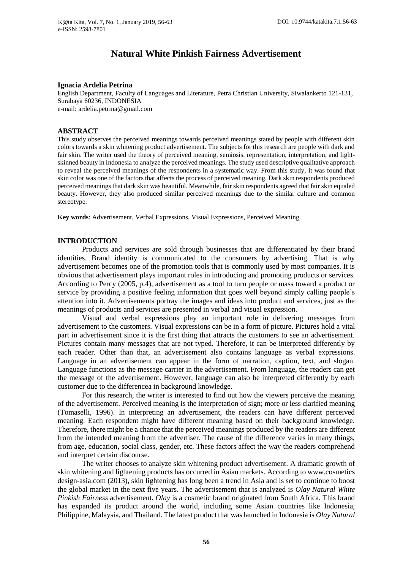# **Natural White Pinkish Fairness Advertisement**

#### **Ignacia Ardelia Petrina**

English Department, Faculty of Languages and Literature, Petra Christian University, Siwalankerto 121-131, Surabaya 60236, INDONESIA e-mail: [ardelia.petrina@gmail.com](mailto:ardelia.petrina@gmail.com)

#### **ABSTRACT**

This study observes the perceived meanings towards perceived meanings stated by people with different skin colors towards a skin whitening product advertisement. The subjects for this research are people with dark and fair skin. The writer used the theory of perceived meaning, semiosis, representation, interpretation, and lightskinned beauty in Indonesia to analyze the perceived meanings. The study used descriptive qualitative approach to reveal the perceived meanings of the respondents in a systematic way. From this study, it was found that skin color was one of the factors that affects the process of perceived meaning. Dark skin respondents produced perceived meanings that dark skin was beautiful. Meanwhile, fair skin respondents agreed that fair skin equaled beauty. However, they also produced similar perceived meanings due to the similar culture and common stereotype.

**Key words**: Advertisement, Verbal Expressions, Visual Expressions, Perceived Meaning.

#### **INTRODUCTION**

Products and services are sold through businesses that are differentiated by their brand identities. Brand identity is communicated to the consumers by advertising. That is why advertisement becomes one of the promotion tools that is commonly used by most companies. It is obvious that advertisement plays important roles in introducing and promoting products or services. According to Percy (2005, p.4), advertisement as a tool to turn people or mass toward a product or service by providing a positive feeling information that goes well beyond simply calling people's attention into it. Advertisements portray the images and ideas into product and services, just as the meanings of products and services are presented in verbal and visual expression.

Visual and verbal expressions play an important role in delivering messages from advertisement to the customers. Visual expressions can be in a form of picture. Pictures hold a vital part in advertisement since it is the first thing that attracts the customers to see an advertisement. Pictures contain many messages that are not typed. Therefore, it can be interpreted differently by each reader. Other than that, an advertisement also contains language as verbal expressions. Language in an advertisement can appear in the form of narration, caption, text, and slogan. Language functions as the message carrier in the advertisement. From language, the readers can get the message of the advertisement. However, language can also be interpreted differently by each customer due to the differencea in background knowledge.

For this research, the writer is interested to find out how the viewers perceive the meaning of the advertisement. Perceived meaning is the interpretation of sign; more or less clarified meaning (Tomaselli, 1996). In interpreting an advertisement, the readers can have different perceived meaning. Each respondent might have different meaning based on their background knowledge. Therefore, there might be a chance that the perceived meanings produced by the readers are different from the intended meaning from the advertiser. The cause of the difference varies in many things, from age, education, social class, gender, etc. These factors affect the way the readers comprehend and interpret certain discourse.

The writer chooses to analyze skin whitening product advertisement. A dramatic growth of skin whitening and lightening products has occurred in Asian markets. According to www.cosmetics design-asia.com (2013), skin lightening has long been a trend in Asia and is set to continue to boost the global market in the next five years. The advertisement that is analyzed is *Olay Natural White Pinkish Fairness* advertisement. *Olay* is a cosmetic brand originated from South Africa. This brand has expanded its product around the world, including some Asian countries like Indonesia, Philippine, Malaysia, and Thailand. The latest product that was launched in Indonesia is *Olay Natural*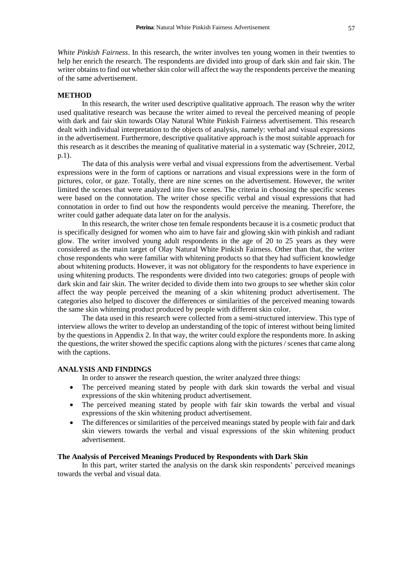*White Pinkish Fairness*. In this research, the writer involves ten young women in their twenties to help her enrich the research. The respondents are divided into group of dark skin and fair skin. The writer obtains to find out whether skin color will affect the way the respondents perceive the meaning of the same advertisement.

#### **METHOD**

In this research, the writer used descriptive qualitative approach. The reason why the writer used qualitative research was because the writer aimed to reveal the perceived meaning of people with dark and fair skin towards Olay Natural White Pinkish Fairness advertisement. This research dealt with individual interpretation to the objects of analysis, namely: verbal and visual expressions in the advertisement. Furthermore, descriptive qualitative approach is the most suitable approach for this research as it describes the meaning of qualitative material in a systematic way (Schreier, 2012, p.1).

The data of this analysis were verbal and visual expressions from the advertisement. Verbal expressions were in the form of captions or narrations and visual expressions were in the form of pictures, color, or gaze. Totally, there are nine scenes on the advertisement. However, the writer limited the scenes that were analyzed into five scenes. The criteria in choosing the specific scenes were based on the connotation. The writer chose specific verbal and visual expressions that had connotation in order to find out how the respondents would perceive the meaning. Therefore, the writer could gather adequate data later on for the analysis.

In this research, the writer chose ten female respondents because it is a cosmetic product that is specifically designed for women who aim to have fair and glowing skin with pinkish and radiant glow. The writer involved young adult respondents in the age of 20 to 25 years as they were considered as the main target of Olay Natural White Pinkish Fairness. Other than that, the writer chose respondents who were familiar with whitening products so that they had sufficient knowledge about whitening products. However, it was not obligatory for the respondents to have experience in using whitening products. The respondents were divided into two categories: groups of people with dark skin and fair skin. The writer decided to divide them into two groups to see whether skin color affect the way people perceived the meaning of a skin whitening product advertisement. The categories also helped to discover the differences or similarities of the perceived meaning towards the same skin whitening product produced by people with different skin color.

The data used in this research were collected from a semi-structured interview. This type of interview allows the writer to develop an understanding of the topic of interest without being limited by the questions in Appendix 2. In that way, the writer could explore the respondents more. In asking the questions, the writer showed the specific captions along with the pictures / scenes that came along with the captions.

## **ANALYSIS AND FINDINGS**

In order to answer the research question, the writer analyzed three things:

- The perceived meaning stated by people with dark skin towards the verbal and visual expressions of the skin whitening product advertisement.
- The perceived meaning stated by people with fair skin towards the verbal and visual expressions of the skin whitening product advertisement.
- The differences or similarities of the perceived meanings stated by people with fair and dark skin viewers towards the verbal and visual expressions of the skin whitening product advertisement.

## **The Analysis of Perceived Meanings Produced by Respondents with Dark Skin**

In this part, writer started the analysis on the darsk skin respondents' perceived meanings towards the verbal and visual data.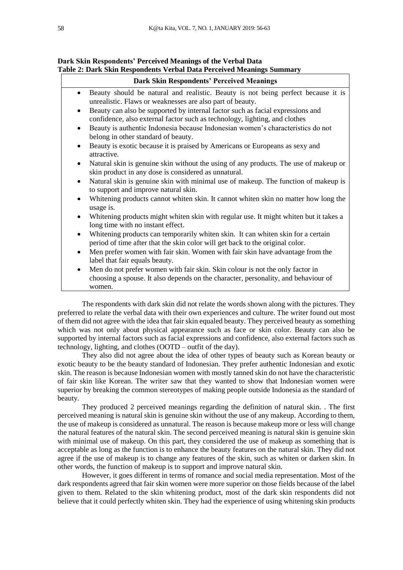| <b>Dark Skin Respondents' Perceived Meanings</b> |                                                                                                                                                                               |  |
|--------------------------------------------------|-------------------------------------------------------------------------------------------------------------------------------------------------------------------------------|--|
|                                                  | Beauty should be natural and realistic. Beauty is not being perfect because it is<br>unrealistic. Flaws or weaknesses are also part of beauty.                                |  |
| $\bullet$                                        | Beauty can also be supported by internal factor such as facial expressions and<br>confidence, also external factor such as technology, lighting, and clothes                  |  |
| $\bullet$                                        | Beauty is authentic Indonesia because Indonesian women's characteristics do not<br>belong in other standard of beauty.                                                        |  |
| $\bullet$                                        | Beauty is exotic because it is praised by Americans or Europeans as sexy and<br>attractive.                                                                                   |  |
| $\bullet$                                        | Natural skin is genuine skin without the using of any products. The use of makeup or<br>skin product in any dose is considered as unnatural.                                  |  |
| $\bullet$                                        | Natural skin is genuine skin with minimal use of makeup. The function of makeup is<br>to support and improve natural skin.                                                    |  |
| $\bullet$                                        | Whitening products cannot whiten skin. It cannot whiten skin no matter how long the<br>usage is.                                                                              |  |
|                                                  | Whitening products might whiten skin with regular use. It might whiten but it takes a<br>long time with no instant effect.                                                    |  |
| $\bullet$                                        | Whitening products can temporarily whiten skin. It can whiten skin for a certain<br>period of time after that the skin color will get back to the original color.             |  |
| $\bullet$                                        | Men prefer women with fair skin. Women with fair skin have advantage from the<br>label that fair equals beauty.                                                               |  |
| $\bullet$                                        | Men do not prefer women with fair skin. Skin colour is not the only factor in<br>choosing a spouse. It also depends on the character, personality, and behaviour of<br>women. |  |

## **Dark Skin Respondents' Perceived Meanings of the Verbal Data Table 2: Dark Skin Respondents Verbal Data Perceived Meanings Summary**

The respondents with dark skin did not relate the words shown along with the pictures. They preferred to relate the verbal data with their own experiences and culture. The writer found out most of them did not agree with the idea that fair skin equaled beauty. They perceived beauty as something which was not only about physical appearance such as face or skin color. Beauty can also be supported by internal factors such as facial expressions and confidence, also external factors such as technology, lighting, and clothes (OOTD – outfit of the day).

They also did not agree about the idea of other types of beauty such as Korean beauty or exotic beauty to be the beauty standard of Indonesian. They prefer authentic Indonesian and exotic skin. The reason is because Indonesian women with mostly tanned skin do not have the characteristic of fair skin like Korean. The writer saw that they wanted to show that Indonesian women were superior by breaking the common stereotypes of making people outside Indonesia as the standard of beauty.

They produced 2 perceived meanings regarding the definition of natural skin. . The first perceived meaning is natural skin is genuine skin without the use of any makeup. According to them, the use of makeup is considered as unnatural. The reason is because makeup more or less will change the natural features of the natural skin. The second perceived meaning is natural skin is genuine skin with minimal use of makeup. On this part, they considered the use of makeup as something that is acceptable as long as the function is to enhance the beauty features on the natural skin. They did not agree if the use of makeup is to change any features of the skin, such as whiten or darken skin. In other words, the function of makeup is to support and improve natural skin.

However, it goes different in terms of romance and social media representation. Most of the dark respondents agreed that fair skin women were more superior on those fields because of the label given to them. Related to the skin whitening product, most of the dark skin respondents did not believe that it could perfectly whiten skin. They had the experience of using whitening skin products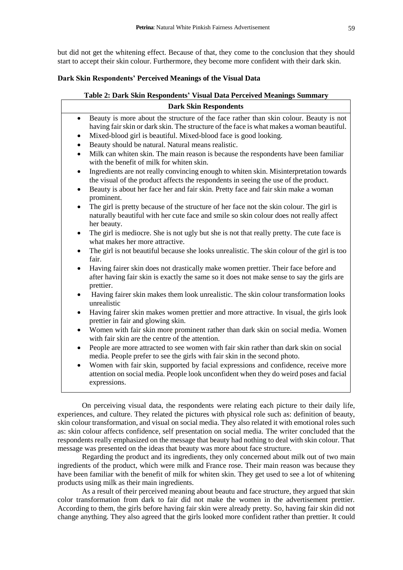but did not get the whitening effect. Because of that, they come to the conclusion that they should start to accept their skin colour. Furthermore, they become more confident with their dark skin.

## **Dark Skin Respondents' Perceived Meanings of the Visual Data**

| Table 2: Dark Skin Respondents' Visual Data Perceived Meanings Summary                                                                                                                                                                                                                                                                                                                                                                                                                       |  |  |
|----------------------------------------------------------------------------------------------------------------------------------------------------------------------------------------------------------------------------------------------------------------------------------------------------------------------------------------------------------------------------------------------------------------------------------------------------------------------------------------------|--|--|
| <b>Dark Skin Respondents</b>                                                                                                                                                                                                                                                                                                                                                                                                                                                                 |  |  |
| Beauty is more about the structure of the face rather than skin colour. Beauty is not<br>$\bullet$<br>having fair skin or dark skin. The structure of the face is what makes a woman beautiful.<br>Mixed-blood girl is beautiful. Mixed-blood face is good looking.<br>٠<br>Beauty should be natural. Natural means realistic.<br>$\bullet$<br>Milk can whiten skin. The main reason is because the respondents have been familiar<br>$\bullet$<br>with the benefit of milk for whiten skin. |  |  |
| Ingredients are not really convincing enough to whiten skin. Misinterpretation towards<br>the visual of the product affects the respondents in seeing the use of the product.<br>Beauty is about her face her and fair skin. Pretty face and fair skin make a woman<br>prominent.                                                                                                                                                                                                            |  |  |
| The girl is pretty because of the structure of her face not the skin colour. The girl is<br>$\bullet$<br>naturally beautiful with her cute face and smile so skin colour does not really affect<br>her beauty.                                                                                                                                                                                                                                                                               |  |  |
| The girl is mediocre. She is not ugly but she is not that really pretty. The cute face is<br>$\bullet$<br>what makes her more attractive.                                                                                                                                                                                                                                                                                                                                                    |  |  |
| The girl is not beautiful because she looks unrealistic. The skin colour of the girl is too<br>$\bullet$<br>fair.                                                                                                                                                                                                                                                                                                                                                                            |  |  |
| Having fairer skin does not drastically make women prettier. Their face before and<br>$\bullet$<br>after having fair skin is exactly the same so it does not make sense to say the girls are<br>prettier.                                                                                                                                                                                                                                                                                    |  |  |
| Having fairer skin makes them look unrealistic. The skin colour transformation looks<br>$\bullet$<br>unrealistic                                                                                                                                                                                                                                                                                                                                                                             |  |  |
| Having fairer skin makes women prettier and more attractive. In visual, the girls look<br>$\bullet$<br>prettier in fair and glowing skin.                                                                                                                                                                                                                                                                                                                                                    |  |  |
| Women with fair skin more prominent rather than dark skin on social media. Women<br>$\bullet$<br>with fair skin are the centre of the attention.                                                                                                                                                                                                                                                                                                                                             |  |  |
| People are more attracted to see women with fair skin rather than dark skin on social<br>$\bullet$<br>media. People prefer to see the girls with fair skin in the second photo.                                                                                                                                                                                                                                                                                                              |  |  |
| Women with fair skin, supported by facial expressions and confidence, receive more<br>attention on social media. People look unconfident when they do weird poses and facial<br>expressions.                                                                                                                                                                                                                                                                                                 |  |  |
|                                                                                                                                                                                                                                                                                                                                                                                                                                                                                              |  |  |

On perceiving visual data, the respondents were relating each picture to their daily life, experiences, and culture. They related the pictures with physical role such as: definition of beauty, skin colour transformation, and visual on social media. They also related it with emotional roles such as: skin colour affects confidence, self presentation on social media. The writer concluded that the respondents really emphasized on the message that beauty had nothing to deal with skin colour. That message was presented on the ideas that beauty was more about face structure.

Regarding the product and its ingredients, they only concerned about milk out of two main ingredients of the product, which were milk and France rose. Their main reason was because they have been familiar with the benefit of milk for whiten skin. They get used to see a lot of whitening products using milk as their main ingredients.

As a result of their perceived meaning about beautu and face structure, they argued that skin color transformation from dark to fair did not make the women in the advertisement prettier. According to them, the girls before having fair skin were already pretty. So, having fair skin did not change anything. They also agreed that the girls looked more confident rather than prettier. It could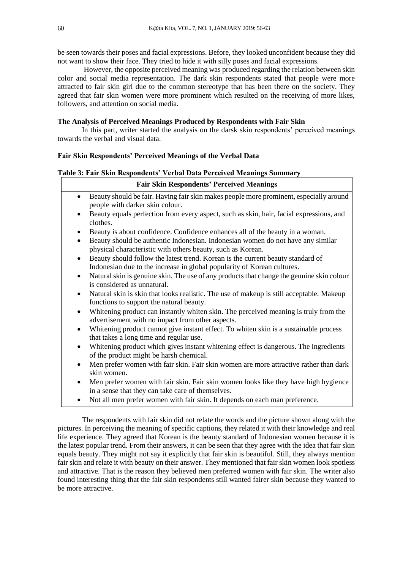be seen towards their poses and facial expressions. Before, they looked unconfident because they did not want to show their face. They tried to hide it with silly poses and facial expressions.

However, the opposite perceived meaning was produced regarding the relation between skin color and social media representation. The dark skin respondents stated that people were more attracted to fair skin girl due to the common stereotype that has been there on the society. They agreed that fair skin women were more prominent which resulted on the receiving of more likes, followers, and attention on social media.

#### **The Analysis of Perceived Meanings Produced by Respondents with Fair Skin**

In this part, writer started the analysis on the darsk skin respondents' perceived meanings towards the verbal and visual data.

٦

### **Fair Skin Respondents' Perceived Meanings of the Verbal Data**

## **Table 3: Fair Skin Respondents' Verbal Data Perceived Meanings Summary**

| <b>Fair Skin Respondents' Perceived Meanings</b> |                                                                                                                                                            |  |
|--------------------------------------------------|------------------------------------------------------------------------------------------------------------------------------------------------------------|--|
| ٠                                                | Beauty should be fair. Having fair skin makes people more prominent, especially around<br>people with darker skin colour.                                  |  |
|                                                  | Beauty equals perfection from every aspect, such as skin, hair, facial expressions, and<br>clothes.                                                        |  |
| $\bullet$                                        | Beauty is about confidence. Confidence enhances all of the beauty in a woman.                                                                              |  |
| $\bullet$                                        | Beauty should be authentic Indonesian. Indonesian women do not have any similar<br>physical characteristic with others beauty, such as Korean.             |  |
| $\bullet$                                        | Beauty should follow the latest trend. Korean is the current beauty standard of<br>Indonesian due to the increase in global popularity of Korean cultures. |  |
| ٠                                                | Natural skin is genuine skin. The use of any products that change the genuine skin colour<br>is considered as unnatural.                                   |  |
|                                                  | Natural skin is skin that looks realistic. The use of makeup is still acceptable. Makeup<br>functions to support the natural beauty.                       |  |
| $\bullet$                                        | Whitening product can instantly whiten skin. The perceived meaning is truly from the<br>advertisement with no impact from other aspects.                   |  |
| $\bullet$                                        | Whitening product cannot give instant effect. To whiten skin is a sustainable process<br>that takes a long time and regular use.                           |  |
| ٠                                                | Whitening product which gives instant whitening effect is dangerous. The ingredients<br>of the product might be harsh chemical.                            |  |
| $\bullet$                                        | Men prefer women with fair skin. Fair skin women are more attractive rather than dark<br>skin women.                                                       |  |
| $\bullet$                                        | Men prefer women with fair skin. Fair skin women looks like they have high hygience<br>in a sense that they can take care of themselves.                   |  |
|                                                  | Not all men prefer women with fair skin. It depends on each man preference.                                                                                |  |

The respondents with fair skin did not relate the words and the picture shown along with the pictures. In perceiving the meaning of specific captions, they related it with their knowledge and real life experience. They agreed that Korean is the beauty standard of Indonesian women because it is the latest popular trend. From their answers, it can be seen that they agree with the idea that fair skin equals beauty. They might not say it explicitly that fair skin is beautiful. Still, they always mention fair skin and relate it with beauty on their answer. They mentioned that fair skin women look spotless and attractive. That is the reason they believed men preferred women with fair skin. The writer also found interesting thing that the fair skin respondents still wanted fairer skin because they wanted to be more attractive.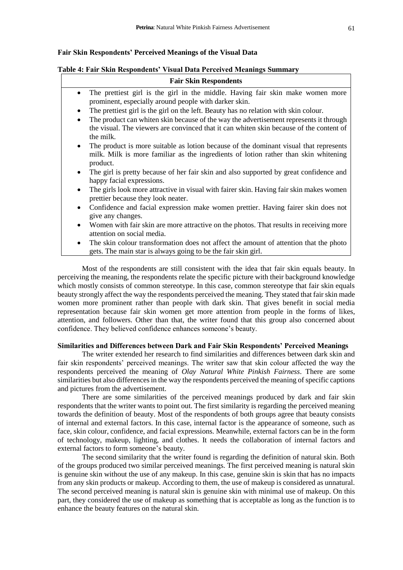## **Fair Skin Respondents' Perceived Meanings of the Visual Data**

#### **Table 4: Fair Skin Respondents' Visual Data Perceived Meanings Summary**

| <b>Fair Skin Respondents</b>                                                                                                                                                                                |  |  |
|-------------------------------------------------------------------------------------------------------------------------------------------------------------------------------------------------------------|--|--|
| The prettiest girl is the girl in the middle. Having fair skin make women more<br>prominent, especially around people with darker skin.                                                                     |  |  |
| The prettiest girl is the girl on the left. Beauty has no relation with skin colour.<br>$\bullet$                                                                                                           |  |  |
| The product can whiten skin because of the way the advertisement represents it through<br>$\bullet$<br>the visual. The viewers are convinced that it can whiten skin because of the content of<br>the milk. |  |  |
| The product is more suitable as lotion because of the dominant visual that represents<br>$\bullet$<br>milk. Milk is more familiar as the ingredients of lotion rather than skin whitening<br>product.       |  |  |
| The girl is pretty because of her fair skin and also supported by great confidence and<br>$\bullet$<br>happy facial expressions.                                                                            |  |  |
| The girls look more attractive in visual with fairer skin. Having fair skin makes women<br>$\bullet$<br>prettier because they look neater.                                                                  |  |  |
| Confidence and facial expression make women prettier. Having fairer skin does not<br>$\bullet$<br>give any changes.                                                                                         |  |  |
| Women with fair skin are more attractive on the photos. That results in receiving more<br>$\bullet$<br>attention on social media.                                                                           |  |  |
| The skin colour transformation does not affect the amount of attention that the photo<br>$\bullet$<br>gets. The main star is always going to be the fair skin girl.                                         |  |  |

Most of the respondents are still consistent with the idea that fair skin equals beauty. In perceiving the meaning, the respondents relate the specific picture with their background knowledge which mostly consists of common stereotype. In this case, common stereotype that fair skin equals beauty strongly affect the way the respondents perceived the meaning. They stated that fair skin made women more prominent rather than people with dark skin. That gives benefit in social media representation because fair skin women get more attention from people in the forms of likes, attention, and followers. Other than that, the writer found that this group also concerned about confidence. They believed confidence enhances someone's beauty.

## **Similarities and Differences between Dark and Fair Skin Respondents' Perceived Meanings**

The writer extended her research to find similarities and differences between dark skin and fair skin respondents' perceived meanings. The writer saw that skin colour affected the way the respondents perceived the meaning of *Olay Natural White Pinkish Fairness*. There are some similarities but also differences in the way the respondents perceived the meaning of specific captions and pictures from the advertisement.

There are some similarities of the perceived meanings produced by dark and fair skin respondents that the writer wants to point out. The first similarity is regarding the perceived meaning towards the definition of beauty. Most of the respondents of both groups agree that beauty consists of internal and external factors. In this case, internal factor is the appearance of someone, such as face, skin colour, confidence, and facial expressions. Meanwhile, external factors can be in the form of technology, makeup, lighting, and clothes. It needs the collaboration of internal factors and external factors to form someone's beauty.

The second similarity that the writer found is regarding the definition of natural skin. Both of the groups produced two similar perceived meanings. The first perceived meaning is natural skin is genuine skin without the use of any makeup. In this case, genuine skin is skin that has no impacts from any skin products or makeup. According to them, the use of makeup is considered as unnatural. The second perceived meaning is natural skin is genuine skin with minimal use of makeup. On this part, they considered the use of makeup as something that is acceptable as long as the function is to enhance the beauty features on the natural skin.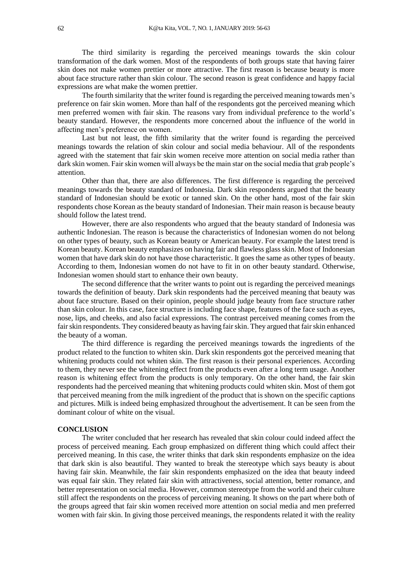The third similarity is regarding the perceived meanings towards the skin colour transformation of the dark women. Most of the respondents of both groups state that having fairer skin does not make women prettier or more attractive. The first reason is because beauty is more about face structure rather than skin colour. The second reason is great confidence and happy facial expressions are what make the women prettier.

The fourth similarity that the writer found is regarding the perceived meaning towards men's preference on fair skin women. More than half of the respondents got the perceived meaning which men preferred women with fair skin. The reasons vary from individual preference to the world's beauty standard. However, the respondents more concerned about the influence of the world in affecting men's preference on women.

Last but not least, the fifth similarity that the writer found is regarding the perceived meanings towards the relation of skin colour and social media behaviour. All of the respondents agreed with the statement that fair skin women receive more attention on social media rather than dark skin women. Fair skin women will always be the main star on the social media that grab people's attention.

Other than that, there are also differences. The first difference is regarding the perceived meanings towards the beauty standard of Indonesia. Dark skin respondents argued that the beauty standard of Indonesian should be exotic or tanned skin. On the other hand, most of the fair skin respondents chose Korean as the beauty standard of Indonesian. Their main reason is because beauty should follow the latest trend.

However, there are also respondents who argued that the beauty standard of Indonesia was authentic Indonesian. The reason is because the characteristics of Indonesian women do not belong on other types of beauty, such as Korean beauty or American beauty. For example the latest trend is Korean beauty. Korean beauty emphasizes on having fair and flawless glass skin. Most of Indonesian women that have dark skin do not have those characteristic. It goes the same as other types of beauty. According to them, Indonesian women do not have to fit in on other beauty standard. Otherwise, Indonesian women should start to enhance their own beauty.

The second difference that the writer wants to point out is regarding the perceived meanings towards the definition of beauty. Dark skin respondents had the perceived meaning that beauty was about face structure. Based on their opinion, people should judge beauty from face structure rather than skin colour. In this case, face structure is including face shape, features of the face such as eyes, nose, lips, and cheeks, and also facial expressions. The contrast perceived meaning comes from the fair skin respondents. They considered beauty as having fair skin. They argued that fair skin enhanced the beauty of a woman.

The third difference is regarding the perceived meanings towards the ingredients of the product related to the function to whiten skin. Dark skin respondents got the perceived meaning that whitening products could not whiten skin. The first reason is their personal experiences. According to them, they never see the whitening effect from the products even after a long term usage. Another reason is whitening effect from the products is only temporary. On the other hand, the fair skin respondents had the perceived meaning that whitening products could whiten skin. Most of them got that perceived meaning from the milk ingredient of the product that is shown on the specific captions and pictures. Milk is indeed being emphasized throughout the advertisement. It can be seen from the dominant colour of white on the visual.

#### **CONCLUSION**

The writer concluded that her research has revealed that skin colour could indeed affect the process of perceived meaning. Each group emphasized on different thing which could affect their perceived meaning. In this case, the writer thinks that dark skin respondents emphasize on the idea that dark skin is also beautiful. They wanted to break the stereotype which says beauty is about having fair skin. Meanwhile, the fair skin respondents emphasized on the idea that beauty indeed was equal fair skin. They related fair skin with attractiveness, social attention, better romance, and better representation on social media. However, common stereotype from the world and their culture still affect the respondents on the process of perceiving meaning. It shows on the part where both of the groups agreed that fair skin women received more attention on social media and men preferred women with fair skin. In giving those perceived meanings, the respondents related it with the reality